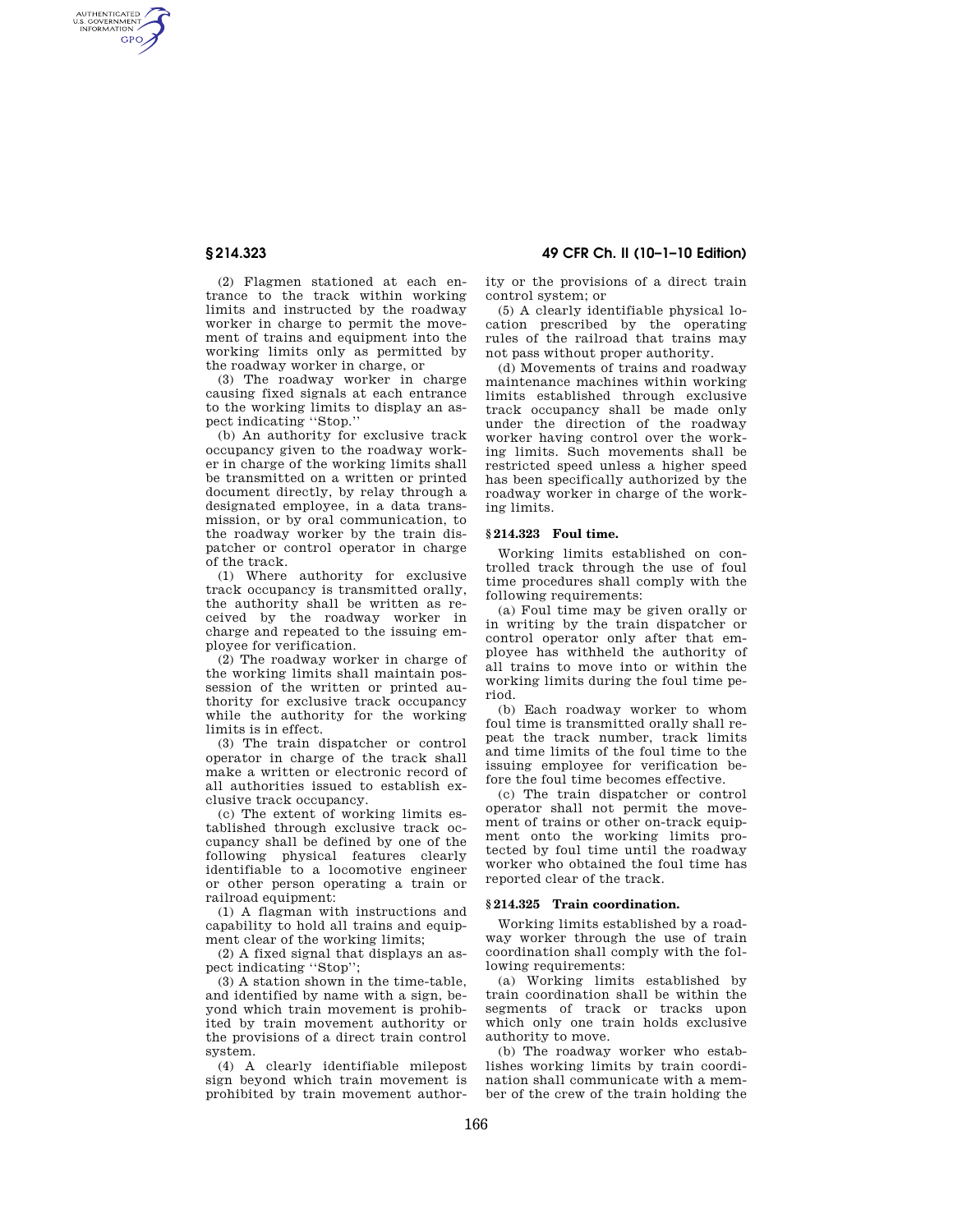AUTHENTICATED<br>U.S. GOVERNMENT<br>INFORMATION GPO

**§ 214.323 49 CFR Ch. II (10–1–10 Edition)** 

(2) Flagmen stationed at each entrance to the track within working limits and instructed by the roadway worker in charge to permit the movement of trains and equipment into the working limits only as permitted by the roadway worker in charge, or

(3) The roadway worker in charge causing fixed signals at each entrance to the working limits to display an aspect indicating ''Stop.''

(b) An authority for exclusive track occupancy given to the roadway worker in charge of the working limits shall be transmitted on a written or printed document directly, by relay through a designated employee, in a data transmission, or by oral communication, to the roadway worker by the train dispatcher or control operator in charge of the track.

(1) Where authority for exclusive track occupancy is transmitted orally, the authority shall be written as received by the roadway worker in charge and repeated to the issuing employee for verification.

(2) The roadway worker in charge of the working limits shall maintain possession of the written or printed authority for exclusive track occupancy while the authority for the working limits is in effect.

(3) The train dispatcher or control operator in charge of the track shall make a written or electronic record of all authorities issued to establish exclusive track occupancy.

(c) The extent of working limits established through exclusive track occupancy shall be defined by one of the following physical features clearly identifiable to a locomotive engineer or other person operating a train or railroad equipment:

(1) A flagman with instructions and capability to hold all trains and equipment clear of the working limits;

(2) A fixed signal that displays an aspect indicating ''Stop'';

(3) A station shown in the time-table, and identified by name with a sign, beyond which train movement is prohibited by train movement authority or the provisions of a direct train control system.

(4) A clearly identifiable milepost sign beyond which train movement is prohibited by train movement authority or the provisions of a direct train control system; or

(5) A clearly identifiable physical location prescribed by the operating rules of the railroad that trains may not pass without proper authority.

(d) Movements of trains and roadway maintenance machines within working limits established through exclusive track occupancy shall be made only under the direction of the roadway worker having control over the working limits. Such movements shall be restricted speed unless a higher speed has been specifically authorized by the roadway worker in charge of the working limits.

## **§ 214.323 Foul time.**

Working limits established on controlled track through the use of foul time procedures shall comply with the following requirements:

(a) Foul time may be given orally or in writing by the train dispatcher or control operator only after that employee has withheld the authority of all trains to move into or within the working limits during the foul time period.

(b) Each roadway worker to whom foul time is transmitted orally shall repeat the track number, track limits and time limits of the foul time to the issuing employee for verification before the foul time becomes effective.

(c) The train dispatcher or control operator shall not permit the movement of trains or other on-track equipment onto the working limits protected by foul time until the roadway worker who obtained the foul time has reported clear of the track.

## **§ 214.325 Train coordination.**

Working limits established by a roadway worker through the use of train coordination shall comply with the following requirements:

(a) Working limits established by train coordination shall be within the segments of track or tracks upon which only one train holds exclusive authority to move.

(b) The roadway worker who establishes working limits by train coordination shall communicate with a member of the crew of the train holding the